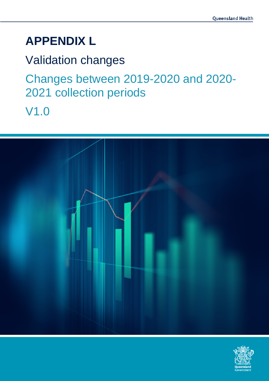# **APPENDIX L**

Validation changes Changes between 2019-2020 and 2020- 2021 collection periods V1.0



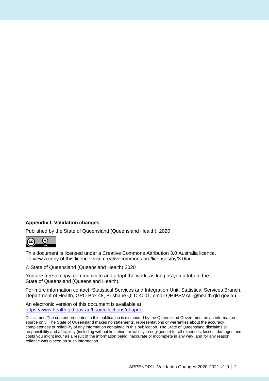#### **Appendix L Validation changes**

Published by the State of Queensland (Queensland Health), 2020



This document is licensed under a Creative Commons Attribution 3.0 Australia licence. To view a copy of this licence, visit creativecommons.org/licenses/by/3.0/au

© State of Queensland (Queensland Health) 2020

You are free to copy, communicate and adapt the work, as long as you attribute the State of Queensland (Queensland Health).

For more information contact: Statistical Services and Integration Unit, Statistical Services Branch, Department of Health, GPO Box 48, Brisbane QLD 4001, email QHIPSMAIL@health.qld.gov.au.

An electronic version of this document is available at <https://www.health.qld.gov.au/hsu/collections/qhapdc>

Disclaimer: The content presented in this publication is distributed by the Queensland Government as an information source only. The State of Queensland makes no statements, representations or warranties about the accuracy, completeness or reliability of any information contained in this publication. The State of Queensland disclaims all responsibility and all liability (including without limitation for liability in negligence) for all expenses, losses, damages and costs you might incur as a result of the information being inaccurate or incomplete in any way, and for any reason reliance was placed on such information.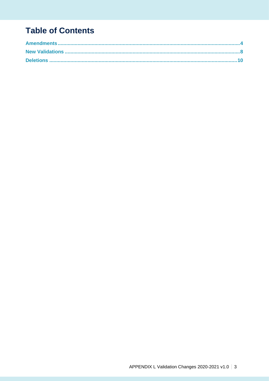## **Table of Contents**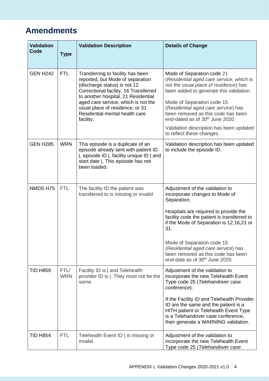### **Amendments**

| <b>Validation</b><br>Code | <b>Type</b>        | <b>Validation Description</b>                                                                                                                                                                                                                                                                                  | <b>Details of Change</b>                                                                                                                                                                                                                                                                                                                                                                     |
|---------------------------|--------------------|----------------------------------------------------------------------------------------------------------------------------------------------------------------------------------------------------------------------------------------------------------------------------------------------------------------|----------------------------------------------------------------------------------------------------------------------------------------------------------------------------------------------------------------------------------------------------------------------------------------------------------------------------------------------------------------------------------------------|
| <b>GEN H242</b>           | <b>FTL</b>         | Transferring to facility has been<br>reported, but Mode of separation<br>(discharge status) is not 12<br>Correctional facility, 16 Transferred<br>to another hospital, 21 Residential<br>aged care service, which is not the<br>usual place of residence, or 31<br>Residential mental health care<br>facility. | Mode of Separation code 21<br>(Residential aged care service, which is<br>not the usual place of residence) has<br>been added to generate this validation.<br>Mode of Separation code 15<br>(Residential aged care service) has<br>been removed as this code has been<br>end-dated as of 30 <sup>th</sup> June 2020.<br>Validation description has been updated<br>to reflect these changes. |
| <b>GEN H285</b>           | <b>WRN</b>         | This episode is a duplicate of an<br>episode already sent with patient ID<br> , episode ID  , facility unique ID   and<br>start date  . This episode has not<br>been loaded.                                                                                                                                   | Validation description has been updated<br>to include the episode ID.                                                                                                                                                                                                                                                                                                                        |
| NMDS H75                  | <b>FTL</b>         | The facility ID the patient was<br>transferred to is missing or invalid                                                                                                                                                                                                                                        | Adjustment of the validation to<br>incorporate changes to Mode of<br>Separation.<br>Hospitals are required to provide the<br>facility code the patient is transferred to<br>if the Mode of Separation is 12,16,21 or<br>31.<br>Mode of Separation code 15<br>(Residential aged care service) has<br>been removed as this code has been<br>end-date as of 30 <sup>th</sup> June 2020.         |
| <b>TID H859</b>           | FTL/<br><b>WRN</b> | Facility ID is   and Telehealth<br>provider ID is  . They must not be the<br>same.                                                                                                                                                                                                                             | Adjustment of the validation to<br>incorporate the new Telehealth Event<br>Type code 25 (Telehandover case<br>conference).<br>If the Facility ID and Telehealth Provider<br>ID are the same and the patient is a<br>HITH patient or Telehealth Event Type<br>is a Telehandover case conference,<br>then generate a WARNING validation.                                                       |
| <b>TID H854</b>           | <b>FTL</b>         | Telehealth Event ID   is missing or<br>invalid.                                                                                                                                                                                                                                                                | Adjustment of the validation to<br>incorporate the new Telehealth Event<br>Type code 25 (Telehandover case                                                                                                                                                                                                                                                                                   |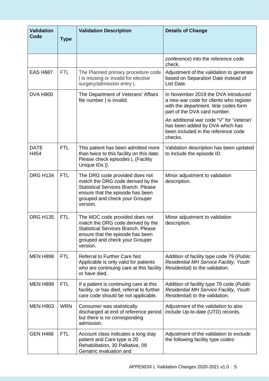| <b>Validation</b><br>Code | <b>Type</b> | <b>Validation Description</b>                                                                                                                                                                       | <b>Details of Change</b>                                                                                                                              |
|---------------------------|-------------|-----------------------------------------------------------------------------------------------------------------------------------------------------------------------------------------------------|-------------------------------------------------------------------------------------------------------------------------------------------------------|
|                           |             |                                                                                                                                                                                                     | conference) into the reference code<br>check.                                                                                                         |
| <b>EAS H687</b>           | <b>FTL</b>  | The Planned primary procedure code<br>I is missing or invalid for elective<br>surgery/admission entry  .                                                                                            | Adjustment of the validation to generate<br>based on Separation Date instead of<br>List Date.                                                         |
| <b>DVA H800</b>           |             | The Department of Veterans' Affairs<br>file number   is invalid.                                                                                                                                    | In November 2019 the DVA introduced<br>a new war code for clients who register<br>with the department. War codes form<br>part of the DVA card number. |
|                           |             |                                                                                                                                                                                                     | An additional war code "V" for 'Veteran'<br>has been added by DVA which has<br>been included in the reference code<br>checks.                         |
| <b>DATE</b><br>H454       | <b>FTL</b>  | This patient has been admitted more<br>than twice to this facility on this date.<br>Please check episodes  , (Facility<br>Unique IDs  ).                                                            | Validation description has been updated<br>to include the episode ID.                                                                                 |
| <b>DRG H134</b>           | <b>FTL</b>  | The DRG code provided does not<br>match the DRG code derived by the<br><b>Statistical Services Branch, Please</b><br>ensure that the episode has been<br>grouped and check your Grouper<br>version. | Minor adjustment to validation<br>description.                                                                                                        |
| <b>DRG H135</b>           | <b>FTL</b>  | The MDC code provided does not<br>match the DRG code derived by the<br><b>Statistical Services Branch. Please</b><br>ensure that the episode has been<br>grouped and check your Grouper<br>version. | Minor adjustment to validation<br>description.                                                                                                        |
| <b>MEN H898</b>           | <b>FTL</b>  | <b>Referral to Further Care Not</b><br>Applicable is only valid for patients<br>who are continuing care at this facility<br>or have died.                                                           | Addition of facility type code 79 (Public<br><b>Residential MH Service Facility, Youth</b><br>Residential) to the validation.                         |
| <b>MEN H899</b>           | <b>FTL</b>  | If a patient is continuing care at this<br>facility, or has died, referral to further<br>care code should be not applicable.                                                                        | Addition of facility type 79 code (Public<br>Residential MH Service Facility, Youth<br>Residential) to the validation.                                |
| <b>MEN H903</b>           | <b>WRN</b>  | Consumer was statistically<br>discharged at end of reference period<br>but there is no corresponding<br>admission.                                                                                  | Adjustment of the validation to also<br>include Up-to-date (UTD) records.                                                                             |
| <b>GEN H466</b>           | <b>FTL</b>  | Account class indicates a long stay<br>patient and Care type is 20<br>Rehabilitation, 30 Palliative, 09<br>Geriatric evaluation and                                                                 | Adjustment of the validation to exclude<br>the following facility type codes:                                                                         |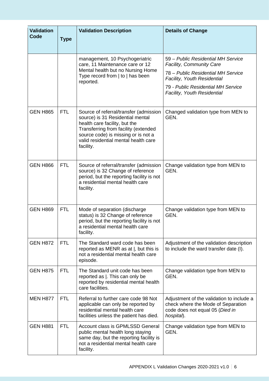| <b>Validation</b><br>Code | <b>Type</b> | <b>Validation Description</b>                                                                                                                                                                                                                   | <b>Details of Change</b>                                                                                                         |
|---------------------------|-------------|-------------------------------------------------------------------------------------------------------------------------------------------------------------------------------------------------------------------------------------------------|----------------------------------------------------------------------------------------------------------------------------------|
|                           |             | management, 10 Psychogeriatric<br>care, 11 Maintenance care or 12                                                                                                                                                                               | 59 - Public Residential MH Service<br><b>Facility, Community Care</b>                                                            |
|                           |             | Mental health but no Nursing Home<br>Type record from   to   has been<br>reported.                                                                                                                                                              | 78 - Public Residential MH Service<br>Facility, Youth Residential                                                                |
|                           |             |                                                                                                                                                                                                                                                 | 79 - Public Residential MH Service<br><b>Facility, Youth Residential</b>                                                         |
| <b>GEN H865</b>           | <b>FTL</b>  | Source of referral/transfer (admission<br>source) is 31 Residential mental<br>health care facility, but the<br>Transferring from facility (extended<br>source code) is missing or is not a<br>valid residential mental health care<br>facility. | Changed validation type from MEN to<br>GEN.                                                                                      |
| <b>GEN H866</b>           | <b>FTL</b>  | Source of referral/transfer (admission<br>source) is 32 Change of reference<br>period, but the reporting facility is not<br>a residential mental health care<br>facility.                                                                       | Change validation type from MEN to<br>GEN.                                                                                       |
| <b>GEN H869</b>           | <b>FTL</b>  | Mode of separation (discharge<br>status) is 32 Change of reference<br>period, but the reporting facility is not<br>a residential mental health care<br>facility.                                                                                | Change validation type from MEN to<br>GEN.                                                                                       |
| <b>GEN H872</b>           | <b>FTL</b>  | The Standard ward code has been<br>reported as MENR as at  , but this is<br>not a residential mental health care<br>episode.                                                                                                                    | Adjustment of the validation description<br>to include the ward transfer date (I).                                               |
| <b>GEN H875</b>           | <b>FTL</b>  | The Standard unit code has been<br>reported as  . This can only be<br>reported by residential mental health<br>care facilities.                                                                                                                 | Change validation type from MEN to<br>GEN.                                                                                       |
| <b>MEN H877</b>           | <b>FTL</b>  | Referral to further care code 98 Not<br>applicable can only be reported by<br>residential mental health care<br>facilities unless the patient has died.                                                                                         | Adjustment of the validation to include a<br>check where the Mode of Separation<br>code does not equal 05 (Died in<br>hospital). |
| <b>GEN H881</b>           | <b>FTL</b>  | Account class is GPMLSSD General<br>public mental health long staying<br>same day, but the reporting facility is<br>not a residential mental health care<br>facility.                                                                           | Change validation type from MEN to<br>GEN.                                                                                       |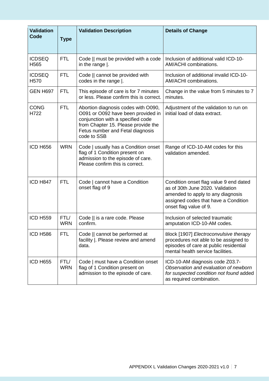| <b>Validation</b><br>Code         | <b>Type</b>        | <b>Validation Description</b>                                                                                                                                                                            | <b>Details of Change</b>                                                                                                                                                          |
|-----------------------------------|--------------------|----------------------------------------------------------------------------------------------------------------------------------------------------------------------------------------------------------|-----------------------------------------------------------------------------------------------------------------------------------------------------------------------------------|
| <b>ICDSEQ</b><br>H <sub>565</sub> | <b>FTL</b>         | Code    must be provided with a code<br>in the range $\vert$ .                                                                                                                                           | Inclusion of additional valid ICD-10-<br>AM/ACHI combinations.                                                                                                                    |
| <b>ICDSEQ</b><br>H <sub>570</sub> | <b>FTL</b>         | Code    cannot be provided with<br>codes in the range  .                                                                                                                                                 | Inclusion of additional invalid ICD-10-<br>AM/ACHI combinations.                                                                                                                  |
| <b>GEN H697</b>                   | <b>FTL</b>         | This episode of care is for 7 minutes<br>or less. Please confirm this is correct.                                                                                                                        | Change in the value from 5 minutes to 7<br>minutes.                                                                                                                               |
| <b>CONG</b><br>H722               | <b>FTL</b>         | Abortion diagnosis codes with O090,<br>O091 or O092 have been provided in<br>conjunction with a specified code<br>from Chapter 15. Please provide the<br>Fetus number and Fetal diagnosis<br>code to SSB | Adjustment of the validation to run on<br>initial load of data extract.                                                                                                           |
| <b>ICD H656</b>                   | <b>WRN</b>         | Code   usually has a Condition onset<br>flag of 1 Condition present on<br>admission to the episode of care.<br>Please confirm this is correct.                                                           | Range of ICD-10-AM codes for this<br>validation amended.                                                                                                                          |
| ICD H847                          | <b>FTL</b>         | Code   cannot have a Condition<br>onset flag of 9                                                                                                                                                        | Condition onset flag value 9 end dated<br>as of 30th June 2020. Validation<br>amended to apply to any diagnosis<br>assigned codes that have a Condition<br>onset flag value of 9. |
| <b>ICD H559</b>                   | FTL/<br><b>WRN</b> | Code    is a rare code. Please<br>confirm.                                                                                                                                                               | Inclusion of selected traumatic<br>amputation ICD-10-AM codes.                                                                                                                    |
| <b>ICD H586</b>                   | <b>FTL</b>         | Code    cannot be performed at<br>facility  . Please review and amend<br>data.                                                                                                                           | Block [1907] Electroconvulsive therapy<br>procedures not able to be assigned to<br>episodes of care at public residential<br>mental health service facilities.                    |
| <b>ICD H655</b>                   | FTL/<br><b>WRN</b> | Code   must have a Condition onset<br>flag of 1 Condition present on<br>admission to the episode of care.                                                                                                | ICD-10-AM diagnosis code Z03.7-<br>Observation and evaluation of newborn<br>for suspected condition not found added<br>as required combination.                                   |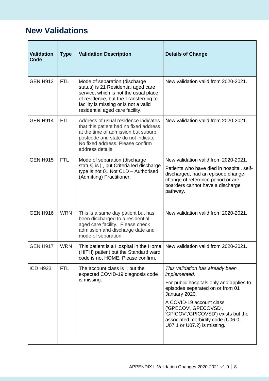#### **New Validations**

| <b>Validation</b><br>Code | <b>Type</b> | <b>Validation Description</b>                                                                                                                                                                                                      | <b>Details of Change</b>                                                                                                                                                                                                                                                                                          |
|---------------------------|-------------|------------------------------------------------------------------------------------------------------------------------------------------------------------------------------------------------------------------------------------|-------------------------------------------------------------------------------------------------------------------------------------------------------------------------------------------------------------------------------------------------------------------------------------------------------------------|
| <b>GEN H913</b>           | <b>FTL</b>  | Mode of separation (discharge<br>status) is 21 Residential aged care<br>service, which is not the usual place<br>of residence, but the Transferring to<br>facility is missing or is not a valid<br>residential aged care facility. | New validation valid from 2020-2021.                                                                                                                                                                                                                                                                              |
| <b>GEN H914</b>           | <b>FTL</b>  | Address of usual residence indicates<br>that this patient had no fixed address<br>at the time of admission but suburb,<br>postcode and state do not indicate<br>No fixed address. Please confirm<br>address details.               | New validation valid from 2020-2021.                                                                                                                                                                                                                                                                              |
| <b>GEN H915</b>           | <b>FTL</b>  | Mode of separation (discharge<br>status) is   , but Criteria led discharge<br>type is not 01 Not CLD - Authorised<br>(Admitting) Practitioner.                                                                                     | New validation valid from 2020-2021.<br>Patients who have died in hospital, self-<br>discharged, had an episode change,<br>change of reference period or are<br>boarders cannot have a discharge<br>pathway.                                                                                                      |
| <b>GEN H916</b>           | <b>WRN</b>  | This is a same day patient but has<br>been discharged to a residential<br>aged care facility. Please check<br>admission and discharge date and<br>mode of separation.                                                              | New validation valid from 2020-2021.                                                                                                                                                                                                                                                                              |
| <b>GEN H917</b>           | <b>WRN</b>  | This patient is a Hospital in the Home<br>(HITH) patient but the Standard ward<br>code is not HOME. Please confirm.                                                                                                                | New validation valid from 2020-2021.                                                                                                                                                                                                                                                                              |
| <b>ICD H923</b>           | <b>FTL</b>  | The account class is $\vert$ , but the<br>expected COVID-19 diagnosis code<br>is missing.                                                                                                                                          | This validation has already been<br>implemented.<br>For public hospitals only and applies to<br>episodes separated on or from 01<br>January 2020.<br>A COVID-19 account class<br>('GPECOV','GPECOVSD',<br>'GPICOV','GPICOVSD') exists but the<br>associated morbidity code (U06.0,<br>U07.1 or U07.2) is missing. |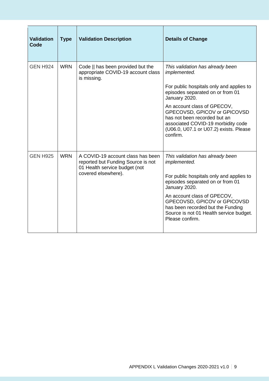| <b>Validation</b><br>Code | <b>Type</b> | <b>Validation Description</b>                                                                                                   | <b>Details of Change</b>                                                                                                                                                                                                                                                                                                                            |
|---------------------------|-------------|---------------------------------------------------------------------------------------------------------------------------------|-----------------------------------------------------------------------------------------------------------------------------------------------------------------------------------------------------------------------------------------------------------------------------------------------------------------------------------------------------|
| <b>GEN H924</b>           | <b>WRN</b>  | Code    has been provided but the<br>appropriate COVID-19 account class<br>is missing.                                          | This validation has already been<br><i>implemented.</i><br>For public hospitals only and applies to<br>episodes separated on or from 01<br>January 2020.<br>An account class of GPECOV,<br>GPECOVSD, GPICOV or GPICOVSD<br>has not been recorded but an<br>associated COVID-19 morbidity code<br>(U06.0, U07.1 or U07.2) exists. Please<br>confirm. |
| <b>GEN H925</b>           | <b>WRN</b>  | A COVID-19 account class has been<br>reported but Funding Source is not<br>01 Health service budget (not<br>covered elsewhere). | This validation has already been<br><i>implemented.</i><br>For public hospitals only and applies to<br>episodes separated on or from 01<br>January 2020.<br>An account class of GPECOV,<br>GPECOVSD, GPICOV or GPICOVSD<br>has been recorded but the Funding<br>Source is not 01 Health service budget.<br>Please confirm.                          |